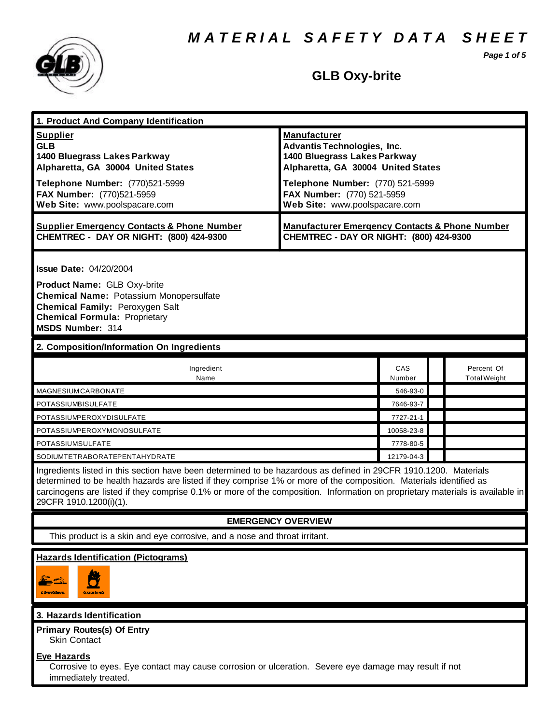*M A T E R I A L S A F E T Y D A T A S H E E T*

*Page 1 of 5*



### **GLB Oxy-brite**

| 1. Product And Company Identification                                                                                                                                                                                                                                                                                                                                                             |                                                                                                                                                                                                                                    |               |                                   |  |
|---------------------------------------------------------------------------------------------------------------------------------------------------------------------------------------------------------------------------------------------------------------------------------------------------------------------------------------------------------------------------------------------------|------------------------------------------------------------------------------------------------------------------------------------------------------------------------------------------------------------------------------------|---------------|-----------------------------------|--|
| <b>Supplier</b><br><b>GLB</b><br>1400 Bluegrass Lakes Parkway<br>Alpharetta, GA 30004 United States<br>Telephone Number: (770)521-5999<br>FAX Number: (770)521-5959<br>Web Site: www.poolspacare.com                                                                                                                                                                                              | <b>Manufacturer</b><br><b>Advantis Technologies, Inc.</b><br>1400 Bluegrass Lakes Parkway<br>Alpharetta, GA 30004 United States<br>Telephone Number: (770) 521-5999<br>FAX Number: (770) 521-5959<br>Web Site: www.poolspacare.com |               |                                   |  |
| <b>Supplier Emergency Contacts &amp; Phone Number</b><br>CHEMTREC - DAY OR NIGHT: (800) 424-9300                                                                                                                                                                                                                                                                                                  | <b>Manufacturer Emergency Contacts &amp; Phone Number</b><br>CHEMTREC - DAY OR NIGHT: (800) 424-9300                                                                                                                               |               |                                   |  |
| <b>Issue Date: 04/20/2004</b><br>Product Name: GLB Oxy-brite<br><b>Chemical Name: Potassium Monopersulfate</b><br>Chemical Family: Peroxygen Salt<br><b>Chemical Formula: Proprietary</b><br><b>MSDS Number: 314</b>                                                                                                                                                                              |                                                                                                                                                                                                                                    |               |                                   |  |
| 2. Composition/Information On Ingredients                                                                                                                                                                                                                                                                                                                                                         |                                                                                                                                                                                                                                    |               |                                   |  |
| Ingredient<br>Name                                                                                                                                                                                                                                                                                                                                                                                |                                                                                                                                                                                                                                    | CAS<br>Number | Percent Of<br><b>Total Weight</b> |  |
| MAGNESIUMCARBONATE                                                                                                                                                                                                                                                                                                                                                                                |                                                                                                                                                                                                                                    | 546-93-0      |                                   |  |
| POTASSIUMBISULFATE                                                                                                                                                                                                                                                                                                                                                                                |                                                                                                                                                                                                                                    | 7646-93-7     |                                   |  |
| POTASSIUMPEROXYDISULFATE                                                                                                                                                                                                                                                                                                                                                                          |                                                                                                                                                                                                                                    | 7727-21-1     |                                   |  |
| POTASSIUMPEROXYMONOSULFATE                                                                                                                                                                                                                                                                                                                                                                        |                                                                                                                                                                                                                                    | 10058-23-8    |                                   |  |
| POTASSIUMSULFATE                                                                                                                                                                                                                                                                                                                                                                                  |                                                                                                                                                                                                                                    | 7778-80-5     |                                   |  |
| SODIUMTETRABORATEPENTAHYDRATE                                                                                                                                                                                                                                                                                                                                                                     |                                                                                                                                                                                                                                    | 12179-04-3    |                                   |  |
| Ingredients listed in this section have been determined to be hazardous as defined in 29CFR 1910.1200. Materials<br>determined to be health hazards are listed if they comprise 1% or more of the composition. Materials identified as<br>carcinogens are listed if they comprise 0.1% or more of the composition. Information on proprietary materials is available in<br>29CFR 1910.1200(i)(1). |                                                                                                                                                                                                                                    |               |                                   |  |
| <b>EMERGENCY OVERVIEW</b>                                                                                                                                                                                                                                                                                                                                                                         |                                                                                                                                                                                                                                    |               |                                   |  |
| This product is a skin and eye corrosive, and a nose and throat irritant.                                                                                                                                                                                                                                                                                                                         |                                                                                                                                                                                                                                    |               |                                   |  |
| <b>Hazards Identification (Pictograms)</b><br>段<br>concolava                                                                                                                                                                                                                                                                                                                                      |                                                                                                                                                                                                                                    |               |                                   |  |
| 3. Hazards Identification                                                                                                                                                                                                                                                                                                                                                                         |                                                                                                                                                                                                                                    |               |                                   |  |
| <b>Primary Routes(s) Of Entry</b><br><b>Skin Contact</b>                                                                                                                                                                                                                                                                                                                                          |                                                                                                                                                                                                                                    |               |                                   |  |
| <b>Eye Hazards</b>                                                                                                                                                                                                                                                                                                                                                                                |                                                                                                                                                                                                                                    |               |                                   |  |

Corrosive to eyes. Eye contact may cause corrosion or ulceration. Severe eye damage may result if not immediately treated.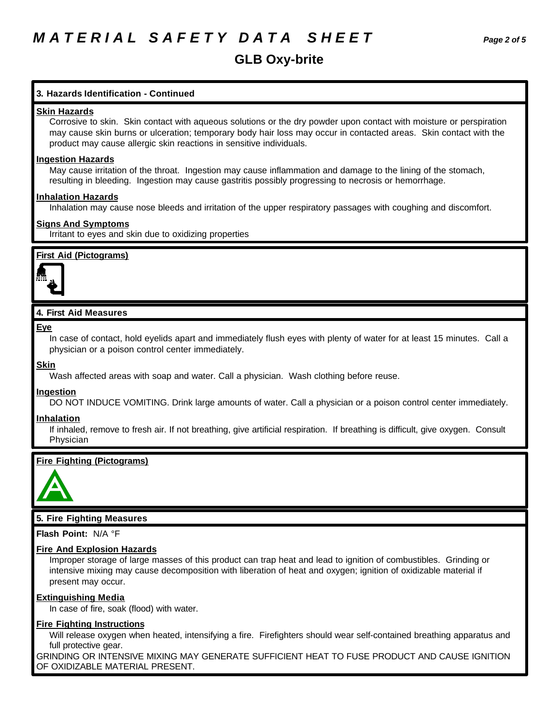### **GLB Oxy-brite**

### **3. Hazards Identification - Continued**

### **Skin Hazards**

Corrosive to skin. Skin contact with aqueous solutions or the dry powder upon contact with moisture or perspiration may cause skin burns or ulceration; temporary body hair loss may occur in contacted areas. Skin contact with the product may cause allergic skin reactions in sensitive individuals.

### **Ingestion Hazards**

May cause irritation of the throat. Ingestion may cause inflammation and damage to the lining of the stomach, resulting in bleeding. Ingestion may cause gastritis possibly progressing to necrosis or hemorrhage.

### **Inhalation Hazards**

Inhalation may cause nose bleeds and irritation of the upper respiratory passages with coughing and discomfort.

### **Signs And Symptoms**

Irritant to eyes and skin due to oxidizing properties

### **First Aid (Pictograms)**



### **4. First Aid Measures**

### **Eye**

In case of contact, hold eyelids apart and immediately flush eyes with plenty of water for at least 15 minutes. Call a physician or a poison control center immediately.

### **Skin**

Wash affected areas with soap and water. Call a physician. Wash clothing before reuse.

### **Ingestion**

DO NOT INDUCE VOMITING. Drink large amounts of water. Call a physician or a poison control center immediately.

### **Inhalation**

If inhaled, remove to fresh air. If not breathing, give artificial respiration. If breathing is difficult, give oxygen. Consult Physician

### **Fire Fighting (Pictograms)**



### **5. Fire Fighting Measures**

**Flash Point:** N/A °F

### **Fire And Explosion Hazards**

Improper storage of large masses of this product can trap heat and lead to ignition of combustibles. Grinding or intensive mixing may cause decomposition with liberation of heat and oxygen; ignition of oxidizable material if present may occur.

### **Extinguishing Media**

In case of fire, soak (flood) with water.

### **Fire Fighting Instructions**

Will release oxygen when heated, intensifying a fire. Firefighters should wear self-contained breathing apparatus and full protective gear.

GRINDING OR INTENSIVE MIXING MAY GENERATE SUFFICIENT HEAT TO FUSE PRODUCT AND CAUSE IGNITION OF OXIDIZABLE MATERIAL PRESENT.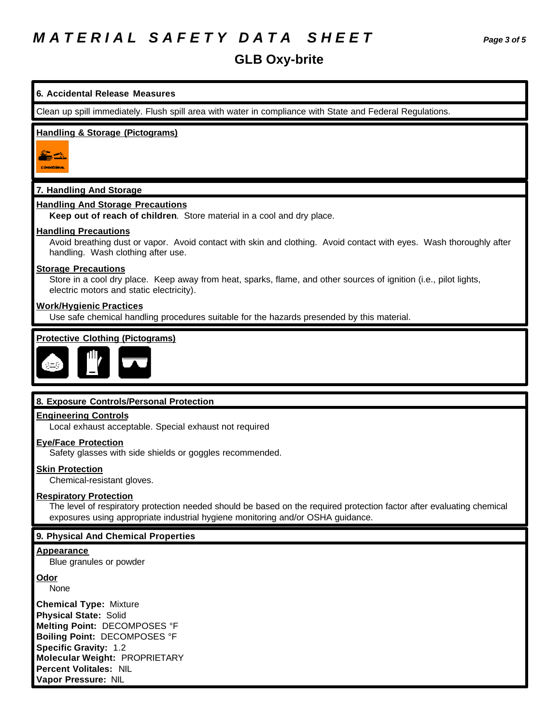**6. Accidental Release Measures**

### **GLB Oxy-brite**

### Clean up spill immediately. Flush spill area with water in compliance with State and Federal Regulations. **Handling & Storage (Pictograms)** <u>Eg</u> **COIDIDENS 7. Handling And Storage Handling And Storage Precautions Keep out of reach of children**. Store material in a cool and dry place. **Handling Precautions** Avoid breathing dust or vapor. Avoid contact with skin and clothing. Avoid contact with eyes. Wash thoroughly after handling. Wash clothing after use. **Storage Precautions** Store in a cool dry place. Keep away from heat, sparks, flame, and other sources of ignition (i.e., pilot lights, electric motors and static electricity). **Work/Hygienic Practices** Use safe chemical handling procedures suitable for the hazards presended by this material. **Protective Clothing (Pictograms) 8. Exposure Controls/Personal Protection Engineering Controls** Local exhaust acceptable. Special exhaust not required **Eye/Face Protection** Safety glasses with side shields or goggles recommended. **Skin Protection** Chemical-resistant gloves. **Respiratory Protection** The level of respiratory protection needed should be based on the required protection factor after evaluating chemical exposures using appropriate industrial hygiene monitoring and/or OSHA guidance. **9. Physical And Chemical Properties Appearance** Blue granules or powder

**Odor**

None

**Chemical Type:** Mixture **Physical State:** Solid **Melting Point:** DECOMPOSES °F **Boiling Point:** DECOMPOSES °F **Specific Gravity:** 1.2 **Molecular Weight:** PROPRIETARY **Percent Volitales:** NIL **Vapor Pressure:** NIL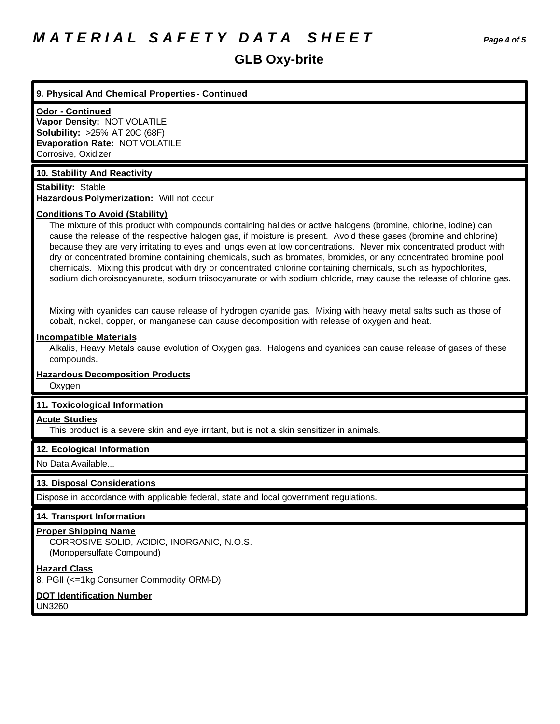## *M A T E R I A L S A F E T Y D A T A S H E E T Page 4 of 5*

### **GLB Oxy-brite**

### **9. Physical And Chemical Properties - Continued**

#### **Odor - Continued**

**Vapor Density:** NOT VOLATILE **Solubility:** >25% AT 20C (68F) **Evaporation Rate:** NOT VOLATILE Corrosive, Oxidizer

### **10. Stability And Reactivity**

**Stability:** Stable **Hazardous Polymerization:** Will not occur

#### **Conditions To Avoid (Stability)**

The mixture of this product with compounds containing halides or active halogens (bromine, chlorine, iodine) can cause the release of the respective halogen gas, if moisture is present. Avoid these gases (bromine and chlorine) because they are very irritating to eyes and lungs even at low concentrations. Never mix concentrated product with dry or concentrated bromine containing chemicals, such as bromates, bromides, or any concentrated bromine pool chemicals. Mixing this prodcut with dry or concentrated chlorine containing chemicals, such as hypochlorites, sodium dichloroisocyanurate, sodium triisocyanurate or with sodium chloride, may cause the release of chlorine gas.

Mixing with cyanides can cause release of hydrogen cyanide gas. Mixing with heavy metal salts such as those of cobalt, nickel, copper, or manganese can cause decomposition with release of oxygen and heat.

#### **Incompatible Materials**

Alkalis, Heavy Metals cause evolution of Oxygen gas. Halogens and cyanides can cause release of gases of these compounds.

**Hazardous Decomposition Products**

**Oxygen** 

### **11. Toxicological Information**

### **Acute Studies**

This product is a severe skin and eye irritant, but is not a skin sensitizer in animals.

#### **12. Ecological Information**

No Data Available...

### **13. Disposal Considerations**

Dispose in accordance with applicable federal, state and local government regulations.

### **14. Transport Information**

**Proper Shipping Name** CORROSIVE SOLID, ACIDIC, INORGANIC, N.O.S. (Monopersulfate Compound)

**Hazard Class**

8, PGII (<=1kg Consumer Commodity ORM-D)

### **DOT Identification Number**

UN3260